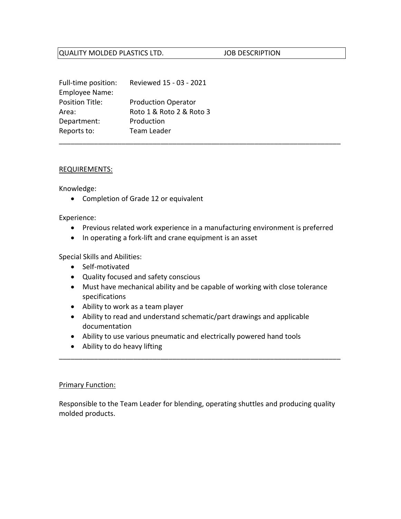## QUALITY MOLDED PLASTICS LTD. JOB DESCRIPTION

| Full-time position:    | Reviewed 15 - 03 - 2021    |
|------------------------|----------------------------|
| <b>Employee Name:</b>  |                            |
| <b>Position Title:</b> | <b>Production Operator</b> |
| Area:                  | Roto 1 & Roto 2 & Roto 3   |
| Department:            | Production                 |
| Reports to:            | Team Leader                |

#### REQUIREMENTS:

Knowledge:

• Completion of Grade 12 or equivalent

Experience:

• Previous related work experience in a manufacturing environment is preferred

\_\_\_\_\_\_\_\_\_\_\_\_\_\_\_\_\_\_\_\_\_\_\_\_\_\_\_\_\_\_\_\_\_\_\_\_\_\_\_\_\_\_\_\_\_\_\_\_\_\_\_\_\_\_\_\_\_\_\_\_\_\_\_\_\_\_\_\_\_\_\_\_

• In operating a fork-lift and crane equipment is an asset

## Special Skills and Abilities:

- Self-motivated
- Quality focused and safety conscious
- Must have mechanical ability and be capable of working with close tolerance specifications
- Ability to work as a team player
- Ability to read and understand schematic/part drawings and applicable documentation
- Ability to use various pneumatic and electrically powered hand tools
- Ability to do heavy lifting

### Primary Function:

Responsible to the Team Leader for blending, operating shuttles and producing quality molded products.

\_\_\_\_\_\_\_\_\_\_\_\_\_\_\_\_\_\_\_\_\_\_\_\_\_\_\_\_\_\_\_\_\_\_\_\_\_\_\_\_\_\_\_\_\_\_\_\_\_\_\_\_\_\_\_\_\_\_\_\_\_\_\_\_\_\_\_\_\_\_\_\_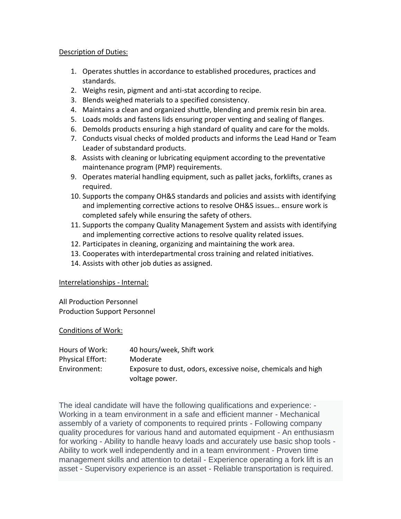## Description of Duties:

- 1. Operates shuttles in accordance to established procedures, practices and standards.
- 2. Weighs resin, pigment and anti-stat according to recipe.
- 3. Blends weighed materials to a specified consistency.
- 4. Maintains a clean and organized shuttle, blending and premix resin bin area.
- 5. Loads molds and fastens lids ensuring proper venting and sealing of flanges.
- 6. Demolds products ensuring a high standard of quality and care for the molds.
- 7. Conducts visual checks of molded products and informs the Lead Hand or Team Leader of substandard products.
- 8. Assists with cleaning or lubricating equipment according to the preventative maintenance program (PMP) requirements.
- 9. Operates material handling equipment, such as pallet jacks, forklifts, cranes as required.
- 10. Supports the company OH&S standards and policies and assists with identifying and implementing corrective actions to resolve OH&S issues… ensure work is completed safely while ensuring the safety of others.
- 11. Supports the company Quality Management System and assists with identifying and implementing corrective actions to resolve quality related issues.
- 12. Participates in cleaning, organizing and maintaining the work area.
- 13. Cooperates with interdepartmental cross training and related initiatives.
- 14. Assists with other job duties as assigned.

# Interrelationships - Internal:

All Production Personnel Production Support Personnel

# Conditions of Work:

| Hours of Work:   | 40 hours/week, Shift work                                    |
|------------------|--------------------------------------------------------------|
| Physical Effort: | Moderate                                                     |
| Environment:     | Exposure to dust, odors, excessive noise, chemicals and high |
|                  | voltage power.                                               |

The ideal candidate will have the following qualifications and experience: - Working in a team environment in a safe and efficient manner - Mechanical assembly of a variety of components to required prints - Following company quality procedures for various hand and automated equipment - An enthusiasm for working - Ability to handle heavy loads and accurately use basic shop tools - Ability to work well independently and in a team environment - Proven time management skills and attention to detail - Experience operating a fork lift is an asset - Supervisory experience is an asset - Reliable transportation is required.